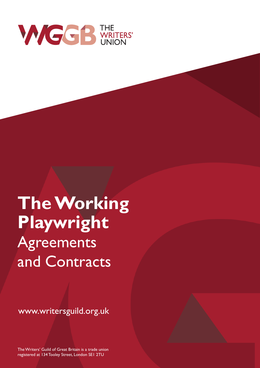

**TheWorking Playwright Agreements** and Contracts

www.writersguild.org.uk

TheWriters' Guild of Great Britain is a trade union registered at 134 Tooley Street, London SE1 2TU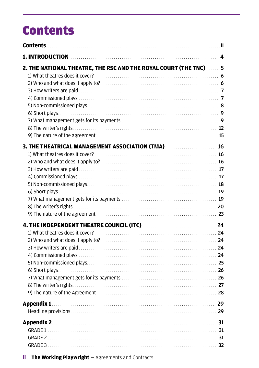# **Contents**

|                                                                                                                | $\overline{a}$ |
|----------------------------------------------------------------------------------------------------------------|----------------|
| 2. THE NATIONAL THEATRE, THE RSC AND THE ROYAL COURT (THE TNC)  5                                              |                |
| 3. THE THEATRICAL MANAGEMENT ASSOCIATION (TMA) <b>MALE THEATRICAL</b> 16                                       |                |
|                                                                                                                |                |
|                                                                                                                |                |
|                                                                                                                |                |
| 4. THE INDEPENDENT THEATRE COUNCIL (ITC) <b>MALL AND THE INDEPENDENT THEATRE COUNCIL</b> (ITC)                 |                |
|                                                                                                                |                |
|                                                                                                                |                |
| Appendix 1 29                                                                                                  |                |
| Appendix 2. 2006. 2007. 2010. 2010. 2010. 2010. 2010. 2010. 2010. 2010. 2010. 2010. 2010. 2010. 2010. 2010. 20 |                |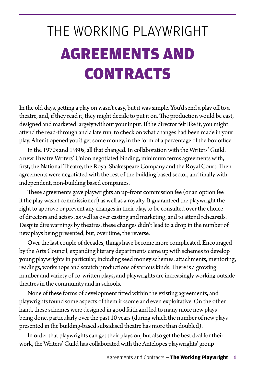# THE WORKING PLAYWRIGHT AGREEMENTS AND **CONTRACTS**

In the old days, getting a play on wasn't easy, but it was simple. You'd send a play off to a theatre, and, if they read it, they might decide to put it on. The production would be cast, designed and marketed largely without your input. If the director felt like it, you might attend the read-through and a late run, to check on what changes had been made in your play. After it opened you'd get some money, in the form of a percentage of the box office.

In the 1970s and 1980s, all that changed. In collaboration with the Writers' Guild, a new Theatre Writers' Union negotiated binding, minimum terms agreements with, first, the National Theatre, the Royal Shakespeare Company and the Royal Court. Then agreements were negotiated with the rest of the building based sector, and finally with independent, non-building based companies.

These agreements gave playwrights an up-front commission fee (or an option fee if the play wasn't commissioned) as well as a royalty. It guaranteed the playwright the right to approve or prevent any changes in their play, to be consulted over the choice of directors and actors, as well as over casting and marketing, and to attend rehearsals. Despite dire warnings by theatres, these changes didn't lead to a drop in the number of new plays being presented, but, over time, the reverse.

Over the last couple of decades, things have become more complicated. Encouraged by the Arts Council, expanding literary departments came up with schemes to develop young playwrights in particular, including seed money schemes, attachments, mentoring, readings, workshops and scratch productions of various kinds. There is a growing number and variety of co-written plays, and playwrights are increasingly working outside theatres in the community and in schools.

None of these forms of development fitted within the existing agreements, and playwrights found some aspects of them irksome and even exploitative. On the other hand, these schemes were designed in good faith and led to many more new plays being done, particularly over the past 10 years (during which the number of new plays presented in the building-based subsidised theatre has more than doubled).

In order that playwrights can get their plays on, but also get the best deal for their work, the Writers' Guild has collaborated with the Antelopes playwrights' group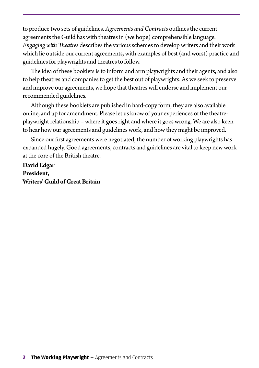to produce two sets of guidelines. *Agreements and Contracts* outlines the current agreements the Guild has with theatres in (we hope) comprehensible language. *Engaging with Theatres* describes the various schemes to develop writers and their work which lie outside our current agreements, with examples of best (and worst) practice and guidelines for playwrights and theatres to follow.

The idea of these booklets is to inform and arm playwrights and their agents, and also to help theatres and companies to get the best out of playwrights. As we seek to preserve and improve our agreements, we hope that theatres will endorse and implement our recommended guidelines.

Although these booklets are published in hard-copy form, they are also available online, and up for amendment. Please let us know of your experiences of the theatreplaywright relationship – where it goes right and where it goes wrong. We are also keen to hear how our agreements and guidelines work, and how they might be improved.

Since our first agreements were negotiated, the number of working playwrights has expanded hugely. Good agreements, contracts and guidelines are vital to keep new work at the core of the British theatre.

**David Edgar President, Writers' Guild of Great Britain**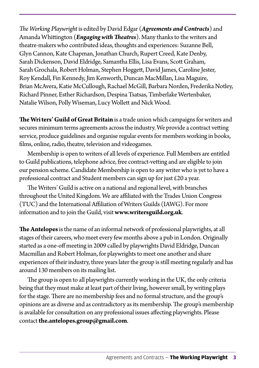*The Working Playwright* is edited by David Edgar (*Agreements and Contracts*) and Amanda Whittington (*Engaging with Theatres*). Many thanks to the writers and theatre-makers who contributed ideas, thoughts and experiences: Suzanne Bell, Glyn Cannon, Kate Chapman, Jonathan Church, Rupert Creed, Kate Denby, Sarah Dickenson, David Eldridge, Samantha Ellis, Lisa Evans, Scott Graham, Sarah Grochala, Robert Holman, Stephen Hoggett, David James, Caroline Jester, Roy Kendall, Fin Kennedy, Jim Kenworth, Duncan MacMillan, Lisa Maguire, Brian McAvera, Katie McCullough, Rachael McGill, Barbara Norden, Frederika Notley, Richard Pinner, Esther Richardson, Despina Tsatsas, Timberlake Wertenbaker, Natalie Wilson, Polly Wiseman, Lucy Wollett and Nick Wood.

**The Writers' Guild of Great Britain** is a trade union which campaigns for writers and secures minimum terms agreements across the industry. We provide a contract vetting service, produce guidelines and organise regular events for members working in books, films, online, radio, theatre, television and videogames.

Membership is open to writers of all levels of experience. Full Members are entitled to Guild publications, telephone advice, free contract-vetting and are eligible to join our pension scheme. Candidate Membership is open to any writer who is yet to have a professional contract and Student members can sign up for just £20 a year.

The Writers' Guild is active on a national and regional level, with branches throughout the United Kingdom. We are affiliated with the Trades Union Congress (TUC) and the International Affiliation of Writers Guilds (IAWG). For more information and to join the Guild, visit **www.writersguild.org.uk**.

**The Antelopes** is the name of an informal network of professional playwrights, at all stages of their careers, who meet every few months above a pub in London. Originally started as a one-off meeting in 2009 called by playwrights David Eldridge, Duncan Macmillan and Robert Holman, for playwrights to meet one another and share experiences of their industry, three years later the group is still meeting regularly and has around 130 members on its mailing list.

The group is open to all playwrights currently working in the UK, the only criteria being that they must make at least part of their living, however small, by writing plays for the stage. There are no membership fees and no formal structure, and the group's opinions are as diverse and as contradictory as its membership. The group's membership is available for consultation on any professional issues affecting playwrights. Please contact **the.antelopes.group@gmail.com**.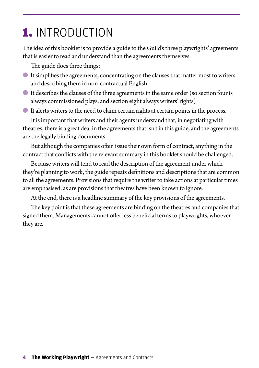# <span id="page-5-0"></span>1. INTRODUCTION

The idea of this booklet is to provide a guide to the Guild's three playwrights' agreements that is easier to read and understand than the agreements themselves.

The guide does three things:

- It simplifies the agreements, concentrating on the clauses that matter most to writers and describing them in non-contractual English
- It describes the clauses of the three agreements in the same order (so section four is always commissioned plays, and section eight always writers' rights)
- It alerts writers to the need to claim certain rights at certain points in the process.

It is important that writers and their agents understand that, in negotiating with theatres, there is a great deal in the agreements that isn't in this guide, and the agreements are the legally binding documents.

But although the companies often issue their own form of contract, anything in the contract that conflicts with the relevant summary in this booklet should be challenged.

Because writers will tend to read the description of the agreement under which they're planning to work, the guide repeats definitions and descriptions that are common to all the agreements. Provisions that require the writer to take actions at particular times are emphasised, as are provisions that theatres have been known to ignore.

At the end, there is a headline summary of the key provisions of the agreements.

The key point is that these agreements are binding on the theatres and companies that signed them. Managements cannot offer less beneficial terms to playwrights, whoever they are.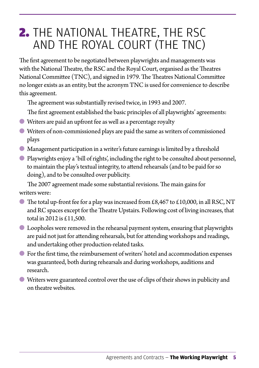## <span id="page-6-0"></span>2. THE NATIONAL THEATRE, THE RSC AND THE ROYAL COURT (THE TNC)

The first agreement to be negotiated between playwrights and managements was with the National Theatre, the RSC and the Royal Court, organised as the Theatres National Committee (TNC), and signed in 1979. The Theatres National Committee no longer exists as an entity, but the acronym TNC is used for convenience to describe this agreement.

The agreement was substantially revised twice, in 1993 and 2007.

The first agreement established the basic principles of all playwrights' agreements:

- Writers are paid an upfront fee as well as a percentage royalty
- Writers of non-commissioned plays are paid the same as writers of commissioned plays
- Management participation in a writer's future earnings is limited by a threshold
- Playwrights enjoy a 'bill of rights', including the right to be consulted about personnel, to maintain the play's textual integrity, to attend rehearsals (and to be paid for so doing), and to be consulted over publicity.

The 2007 agreement made some substantial revisions. The main gains for writers were:

- $\bullet$  The total up-front fee for a play was increased from £8,467 to £10,000, in all RSC, NT and RC spaces except for the Theatre Upstairs. Following cost of living increases, that total in 2012 is £11,500.
- Loopholes were removed in the rehearsal payment system, ensuring that playwrights are paid not just for attending rehearsals, but for attending workshops and readings, and undertaking other production-related tasks.
- For the first time, the reimbursement of writers' hotel and accommodation expenses was guaranteed, both during rehearsals and during workshops, auditions and research.
- Writers were guaranteed control over the use of clips of their shows in publicity and on theatre websites.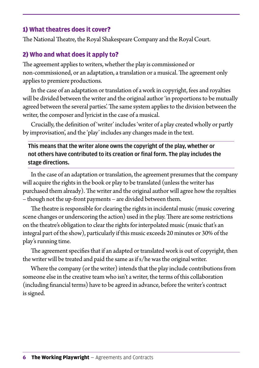#### <span id="page-7-0"></span>1) **What theatres does it cover**?

The National Theatre, the Royal Shakespeare Company and the Royal Court.

#### 2) **Who and what does it apply to**?

The agreement applies to writers, whether the play is commissioned or non-commissioned, or an adaptation, a translation or a musical. The agreement only applies to premiere productions.

In the case of an adaptation or translation of a work in copyright, fees and royalties will be divided between the writer and the original author 'in proportions to be mutually agreed between the several parties'. The same system applies to the division between the writer, the composer and lyricist in the case of a musical.

Crucially, the definition of 'writer' includes 'writer of a play created wholly or partly by improvisation', and the 'play' includes any changes made in the text.

This means that the writer alone owns the copyright of the play, whether or not others have contributed to its creation or final form. The play includes the stage directions.

In the case of an adaptation or translation, the agreement presumes that the company will acquire the rights in the book or play to be translated (unless the writer has purchased them already). The writer and the original author will agree how the royalties – though not the up-front payments – are divided between them.

The theatre is responsible for clearing the rights in incidental music (music covering scene changes or underscoring the action) used in the play. There are some restrictions on the theatre's obligation to clear the rights for interpolated music (music that's an integral part of the show), particularly if this music exceeds 20 minutes or 30% of the play's running time.

The agreement specifies that if an adapted or translated work is out of copyright, then the writer will be treated and paid the same as if s/he was the original writer.

Where the company (or the writer) intends that the play include contributions from someone else in the creative team who isn't a writer, the terms of this collaboration (including financial terms) have to be agreed in advance, before the writer's contract is signed.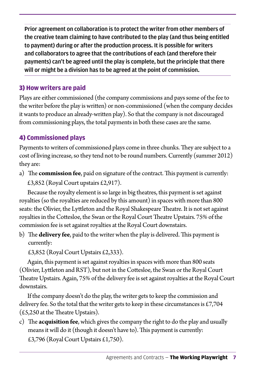<span id="page-8-0"></span>Prior agreement on collaboration is to protect the writer from other members of the creative team claiming to have contributed to the play (and thus being entitled to payment) during or after the production process. It is possible for writers and collaborators to agree that the contributions of each (and therefore their payments) can't be agreed until the play is complete, but the principle that there will or might be a division has to be agreed at the point of commission.

#### 3) **How writers are paid**

Plays are either commissioned (the company commissions and pays some of the fee to the writer before the play is written) or non-commissioned (when the company decides it wants to produce an already-written play). So that the company is not discouraged from commissioning plays, the total payments in both these cases are the same.

### 4) **Commissioned plays**

Payments to writers of commissioned plays come in three chunks. They are subject to a cost of living increase, so they tend not to be round numbers. Currently (summer 2012) they are:

a) The **commission fee**, paid on signature of the contract. This payment is currently:

£3,852 (Royal Court upstairs £2,917).

Because the royalty element is so large in big theatres, this payment is set against royalties (so the royalties are reduced by this amount) in spaces with more than 800 seats: the Olivier, the Lyttleton and the Royal Shakespeare Theatre. It is not set against royalties in the Cottesloe, the Swan or the Royal Court Theatre Upstairs. 75% of the commission fee is set against royalties at the Royal Court downstairs.

b) The **delivery fee**, paid to the writer when the play is delivered. This payment is currently:

£3,852 (Royal Court Upstairs £2,333).

Again, this payment is set against royalties in spaces with more than 800 seats (Olivier, Lyttleton and RST), but not in the Cottesloe, the Swan or the Royal Court Theatre Upstairs. Again, 75% of the delivery fee is set against royalties at the Royal Court downstairs.

If the company doesn't do the play, the writer gets to keep the commission and delivery fee. So the total that the writer gets to keep in these circumstances is £7,704 (£5,250 at the Theatre Upstairs).

c) The **acquisition fee**, which gives the company the right to do the play and usually means it will do it (though it doesn't have to). This payment is currently:

£3,796 (Royal Court Upstairs £1,750).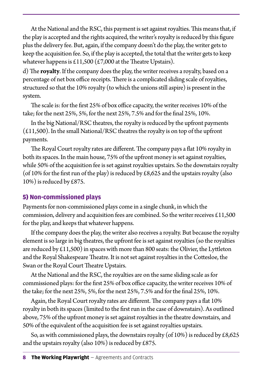<span id="page-9-0"></span>At the National and the RSC, this payment is set against royalties. This means that, if the play is accepted and the rights acquired, the writer's royalty is reduced by this figure plus the delivery fee. But, again, if the company doesn't do the play, the writer gets to keep the acquisition fee. So, if the play is accepted, the total that the writer gets to keep whatever happens is £11,500 (£7,000 at the Theatre Upstairs).

d) The **royalty**. If the company does the play, the writer receives a royalty, based on a percentage of net box office receipts. There is a complicated sliding scale of royalties, structured so that the 10% royalty (to which the unions still aspire) is present in the system.

The scale is: for the first 25% of box office capacity, the writer receives 10% of the take; for the next 25%, 5%, for the next 25%, 7.5% and for the final 25%, 10%.

In the big National/RSC theatres, the royalty is reduced by the upfront payments  $(£11,500)$ . In the small National/RSC theatres the royalty is on top of the upfront payments.

The Royal Court royalty rates are different. The company pays a flat 10% royalty in both its spaces. In the main house, 75% of the upfront money is set against royalties, while 50% of the acquisition fee is set against royalties upstairs. So the downstairs royalty (of 10% for the first run of the play) is reduced by  $\pounds8,625$  and the upstairs royalty (also 10%) is reduced by £875.

#### 5) **Non-commissioned plays**

Payments for non-commissioned plays come in a single chunk, in which the commission, delivery and acquisition fees are combined. So the writer receives £11,500 for the play, and keeps that whatever happens.

If the company does the play, the writer also receives a royalty. But because the royalty element is so large in big theatres, the upfront fee is set against royalties (so the royalties are reduced by  $\text{\pounds}11,500$  in spaces with more than 800 seats: the Olivier, the Lyttleton and the Royal Shakespeare Theatre. It is not set against royalties in the Cottesloe, the Swan or the Royal Court Theatre Upstairs.

At the National and the RSC, the royalties are on the same sliding scale as for commissioned plays: for the first 25% of box office capacity, the writer receives 10% of the take; for the next 25%, 5%, for the next 25%, 7.5% and for the final 25%, 10%.

Again, the Royal Court royalty rates are different. The company pays a flat 10% royalty in both its spaces (limited to the first run in the case of downstairs). As outlined above, 75% of the upfront money is set against royalties in the theatre downstairs, and 50% of the equivalent of the acquisition fee is set against royalties upstairs.

So, as with commissioned plays, the downstairs royalty (of  $10\%$ ) is reduced by £8,625 and the upstairs royalty (also 10%) is reduced by £875.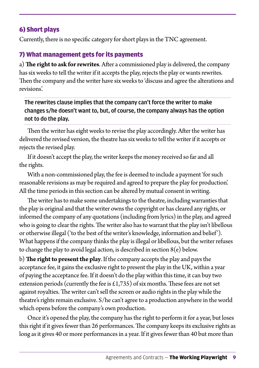#### <span id="page-10-0"></span>6) Short plays

Currently, there is no specific category for short plays in the TNC agreement.

#### 7) What management gets for its payments

a) **The right to ask for rewrites**. After a commissioned play is delivered, the company has six weeks to tell the writer if it accepts the play, rejects the play or wants rewrites. Then the company and the writer have six weeks to 'discuss and agree the alterations and revisions'.

The rewrites clause implies that the company can't force the writer to make changes s/he doesn't want to, but, of course, the company always has the option not to do the play.

Then the writer has eight weeks to revise the play accordingly. After the writer has delivered the revised version, the theatre has six weeks to tell the writer if it accepts or rejects the revised play.

If it doesn't accept the play, the writer keeps the money received so far and all the rights.

With a non-commissioned play, the fee is deemed to include a payment 'for such reasonable revisions as may be required and agreed to prepare the play for production'. All the time periods in this section can be altered by mutual consent in writing.

The writer has to make some undertakings to the theatre, including warranties that the play is original and that the writer owns the copyright or has cleared any rights, or informed the company of any quotations (including from lyrics) in the play, and agreed who is going to clear the rights. The writer also has to warrant that the play isn't libellous or otherwise illegal ('to the best of the writer's knowledge, information and belief'). What happens if the company thinks the play is illegal or libellous, but the writer refuses to change the play to avoid legal action, is described in section  $8(e)$  below.

b) **The right to present the play**.If the company accepts the play and pays the acceptance fee, it gains the exclusive right to present the play in the UK, within a year of paying the acceptance fee. If it doesn't do the play within this time, it can buy two extension periods (currently the fee is  $\pounds$ 1,735) of six months. These fees are not set against royalties. The writer can't sell the screen or audio rights in the play while the theatre's rights remain exclusive. S/he can't agree to a production anywhere in the world which opens before the company's own production.

Once it's opened the play, the company has the right to perform it for a year, but loses this right if it gives fewer than 26 performances. The company keeps its exclusive rights as long as it gives 40 or more performances in a year. If it gives fewer than 40 but more than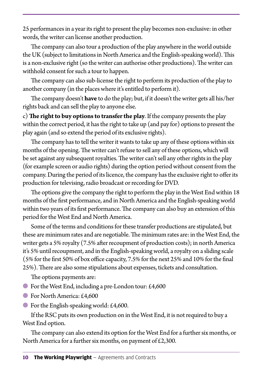25 performances in a year its right to present the play becomes non-exclusive: in other words, the writer can license another production.

The company can also tour a production of the play anywhere in the world outside the UK (subject to limitations in North America and the English-speaking world). This is a non-exclusive right (so the writer can authorise other productions). The writer can withhold consent for such a tour to happen.

The company can also sub-license the right to perform its production of the play to another company (in the places where it's entitled to perform it).

The company doesn't **have** to do the play; but, if it doesn't the writer gets all his/her rights back and can sell the play to anyone else.

c) **The right to buy options to transfer the play**. If the company presents the play within the correct period, it has the right to take up (and pay for) options to present the play again (and so extend the period of its exclusive rights).

The company has to tell the writer it wants to take up any of these options within six months of the opening. The writer can't refuse to sell any of these options, which will be set against any subsequent royalties. The writer can't sell any other rights in the play (for example screen or audio rights) during the option period without consent from the company. During the period of its licence, the company has the exclusive right to offer its production for televising, radio broadcast or recording for DVD.

The options give the company the right to perform the play in the West End within 18 months of the first performance, and in North America and the English-speaking world within two years of its first performance. The company can also buy an extension of this period for the West End and North America.

Some of the terms and conditions for these transfer productions are stipulated, but these are minimum rates and are negotiable. The minimum rates are: in the West End, the writer gets a 5% royalty (7.5% after recoupment of production costs); in north America it's 5% until recoupment, and in the English-speaking world, a royalty on a sliding scale (5% for the first 50% of box office capacity, 7.5% for the next 25% and 10% for the final 25%). There are also some stipulations about expenses, tickets and consultation.

The options payments are:

- For the West End, including a pre-London tour: £4,600
- For North America: £4,600
- $\bullet$  For the English-speaking world: £4,600.

If the RSC puts its own production on in the West End, it is not required to buy a West End option.

The company can also extend its option for the West End for a further six months, or North America for a further six months, on payment of  $£2,300$ .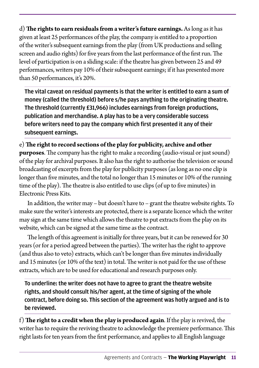d) **The rights to earn residuals from a writer's future earnings.** As long as it has given at least 25 performances of the play, the company is entitled to a proportion of the writer's subsequent earnings from the play (from UK productions and selling screen and audio rights) for five years from the last performance of the first run. The level of participation is on a sliding scale: if the theatre has given between 25 and 49 performances, writers pay 10% of their subsequent earnings; if it has presented more than 50 performances, it's 20%.

The vital caveat on residual payments is that the writer is entitled to earn a sum of money (called the threshold) before s/he pays anything to the originating theatre. The threshold (currently £31,966) includes earnings from foreign productions, publication and merchandise. A play has to be a very considerable success before writers need to pay the company which first presented it any of their subsequent earnings.

e) **The right to record sections of the play for publicity, archive and other purposes**. The company has the right to make a recording (audio-visual or just sound) of the play for archival purposes. It also has the right to authorise the television or sound broadcasting of excerpts from the play for publicity purposes (as long as no one clip is longer than five minutes, and the total no longer than 15 minutes or 10% of the running time of the play). The theatre is also entitled to use clips (of up to five minutes) in Electronic Press Kits.

In addition, the writer may – but doesn't have to – grant the theatre website rights. To make sure the writer's interests are protected, there is a separate licence which the writer may sign at the same time which allows the theatre to put extracts from the play on its website, which can be signed at the same time as the contract.

The length of this agreement is initially for three years, but it can be renewed for 30 years (or for a period agreed between the parties). The writer has the right to approve (and thus also to veto) extracts, which can't be longer than five minutes individually and 15 minutes (or 10% of the text) in total. The writer is not paid for the use of these extracts, which are to be used for educational and research purposes only.

To underline: the writer does not have to agree to grant the theatre website rights, and should consult his/her agent, at the time of signing of the whole contract, before doing so. This section of the agreement was hotly argued and is to be reviewed.

f) **The right to a credit when the play is produced again**. If the play is revived, the writer has to require the reviving theatre to acknowledge the premiere performance. This right lasts for ten years from the first performance, and applies to all English language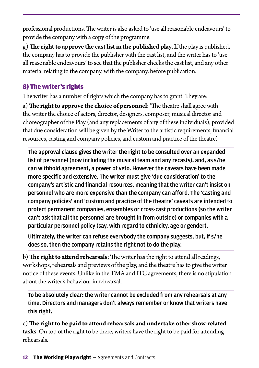<span id="page-13-0"></span>professional productions. The writer is also asked to 'use all reasonable endeavours' to provide the company with a copy of the programme.

g) **The right to approve the cast list in the published play**. If the play is published, the company has to provide the publisher with the cast list, and the writer has to 'use all reasonable endeavours' to see that the publisher checks the cast list, and any other material relating to the company, with the company, before publication.

#### 8) The writer's rights

The writer has a number of rights which the company has to grant. They are:

a) **The right to approve the choice of personnel**: 'The theatre shall agree with the writer the choice of actors, director, designers, composer, musical director and choreographer of the Play (and any replacements of any of these individuals), provided that due consideration will be given by the Writer to the artistic requirements, financial resources, casting and company policies, and custom and practice of the theatre'.

The approval clause gives the writer the right to be consulted over an expanded list of personnel (now including the musical team and any recasts), and, as s/he can withhold agreement, a power of veto. However the caveats have been made more specific and extensive. The writer must give 'due consideration' to the company's artistic and financial resources, meaning that the writer can't insist on personnel who are more expensive than the company can afford. The 'casting and company policies' and 'custom and practice of the theatre' caveats are intended to protect permanent companies, ensembles or cross-cast productions (so the writer can't ask that all the personnel are brought in from outside) or companies with a particular personnel policy (say, with regard to ethnicity, age or gender).

Ultimately, the writer can refuse everybody the company suggests, but, if s/he does so, then the company retains the right not to do the play.

b) **The right to attend rehearsals**: The writer has the right to attend all readings, workshops, rehearsals and previews of the play, and the theatre has to give the writer notice of these events. Unlike in the TMA and ITC agreements, there is no stipulation about the writer's behaviour in rehearsal.

To be absolutely clear: the writer cannot be excluded from any rehearsals at any time. Directors and managers don't always remember or know that writers have this right.

c) **The right to be paid to attend rehearsals and undertake other show-related tasks**. On top of the right to be there, writers have the right to be paid for attending rehearsals.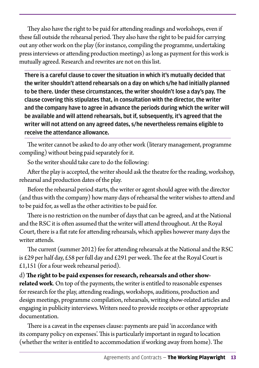They also have the right to be paid for attending readings and workshops, even if these fall outside the rehearsal period. They also have the right to be paid for carrying out any other work on the play (for instance, compiling the programme, undertaking press interviews or attending production meetings) as long as payment for this work is mutually agreed. Research and rewrites are not on this list.

There is a careful clause to cover the situation in which it's mutually decided that the writer shouldn't attend rehearsals on a day on which s/he had initially planned to be there. Under these circumstances, the writer shouldn't lose a day's pay. The clause covering this stipulates that, in consultation with the director, the writer and the company have to agree in advance the periods during which the writer will be available and will attend rehearsals, but if, subsequently, it's agreed that the writer will not attend on any agreed dates, s/he nevertheless remains eligible to receive the attendance allowance.

The writer cannot be asked to do any other work (literary management, programme compiling) without being paid separately for it.

So the writer should take care to do the following:

After the play is accepted, the writer should ask the theatre for the reading, workshop, rehearsal and production dates of the play.

Before the rehearsal period starts, the writer or agent should agree with the director (and thus with the company) how many days of rehearsal the writer wishes to attend and to be paid for, as well as the other activities to be paid for.

There is no restriction on the number of days that can be agreed, and at the National and the RSC it is often assumed that the writer will attend throughout. At the Royal Court, there is a flat rate for attending rehearsals, which applies however many days the writer attends.

The current (summer 2012) fee for attending rehearsals at the National and the RSC is £29 per half day, £58 per full day and £291 per week. The fee at the Royal Court is £1,151 (for a four week rehearsal period).

d) **The right to be paid expenses for research, rehearsals and other showrelated work**. On top of the payments, the writer is entitled to reasonable expenses for research for the play, attending readings, workshops, auditions, production and design meetings, programme compilation, rehearsals, writing show-related articles and engaging in publicity interviews. Writers need to provide receipts or other appropriate documentation.

There is a caveat in the expenses clause: payments are paid 'in accordance with its company policy on expenses'. This is particularly important in regard to location (whether the writer is entitled to accommodation if working away from home). The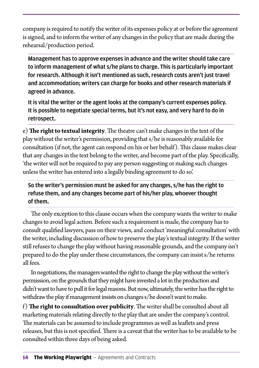company is required to notify the writer of its expenses policy at or before the agreement is signed, and to inform the writer of any changes in the policy that are made during the rehearsal/production period.

Management has to approve expenses in advance and the writer should take care to inform management of what s/he plans to charge. This is particularly important for research. Although it isn't mentioned as such, research costs aren't just travel and accommodation; writers can charge for books and other research materials if agreed in advance.

It is vital the writer or the agent looks at the company's current expenses policy. It is possible to negotiate special terms, but it's not easy, and very hard to do in retrospect.

e) **The right to textual integrity**. The theatre can't make changes in the text of the play without the writer's permission, providing that s/he is reasonably available for consultation (if not, the agent can respond on his or her behalf). This clause makes clear that any changes in the text belong to the writer, and become part of the play. Specifically, 'the writer will not be required to pay any person suggesting or making such changes unless the writer has entered into a legally binding agreement to do so'.

So the writer's permission must be asked for any changes, s/he has the right to refuse them, and any changes become part of his/her play, whoever thought of them.

The only exception to this clause occurs when the company wants the writer to make changes to avoid legal action. Before such a requirement is made, the company has to consult qualified lawyers, pass on their views, and conduct 'meaningful consultation' with the writer, including discussion of how to preserve the play's textual integrity. If the writer still refuses to change the play without having reasonable grounds, and the company isn't prepared to do the play under these circumstances, the company can insist s/he returns all fees.

In negotiations, the managers wanted the right to change the play without the writer's permission, on the grounds that they might have invested a lot in the production and didn't want to have to pull it for legal reasons. But now, ultimately, the writer has the right to withdraw the play if management insists on changes s/he doesn't want to make.

f) **The right to consultation over publicity**. The writer shall be consulted about all marketing materials relating directly to the play that are under the company's control. The materials can be assumed to include programmes as well as leaflets and press releases, but this is not specified. There is a caveat that the writer has to be available to be consulted within three days of being asked.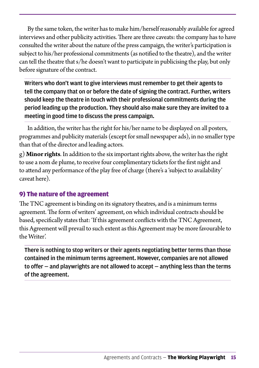<span id="page-16-0"></span>By the same token, the writer has to make him/herself reasonably available for agreed interviews and other publicity activities. There are three caveats: the company has to have consulted the writer about the nature of the press campaign, the writer's participation is subject to his/her professional commitments (as notified to the theatre), and the writer can tell the theatre that s/he doesn't want to participate in publicising the play, but only before signature of the contract.

Writers who don't want to give interviews must remember to get their agents to tell the company that on or before the date of signing the contract. Further, writers should keep the theatre in touch with their professional commitments during the period leading up the production. They should also make sure they are invited to a meeting in good time to discuss the press campaign.

In addition, the writer has the right for his/her name to be displayed on all posters, programmes and publicity materials (except for small newspaper ads), in no smaller type than that of the director and leading actors.

g) **Minor rights**. In addition to the six important rights above, the writer has the right to use a nom de plume, to receive four complimentary tickets for the first night and to attend any performance of the play free of charge (there's a 'subject to availability' caveat here).

#### 9) The nature of the agreement

The TNC agreement is binding on its signatory theatres, and is a minimum terms agreement. The form of writers' agreement, on which individual contracts should be based, specifically states that: 'If this agreement conflicts with the TNC Agreement, this Agreement will prevail to such extent as this Agreement may be more favourable to the Writer'.

There is nothing to stop writers or their agents negotiating better terms than those contained in the minimum terms agreement. However, companies are not allowed to offer — and playwrights are not allowed to accept — anything less than the terms of the agreement.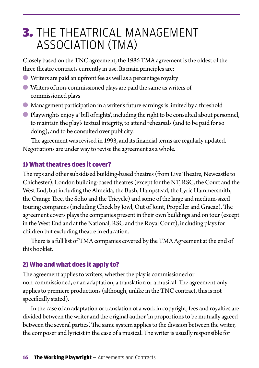## <span id="page-17-0"></span>3. THE THEATRICAL MANAGEMENT ASSOCIATION (TMA)

Closely based on the TNC agreement, the 1986 TMA agreement is the oldest of the three theatre contracts currently in use. Its main principles are:

- Writers are paid an upfront fee as well as a percentage royalty
- Writers of non-commissioned plays are paid the same as writers of commissioned plays
- Management participation in a writer's future earnings is limited by a threshold
- Playwrights enjoy a 'bill of rights', including the right to be consulted about personnel, to maintain the play's textual integrity, to attend rehearsals (and to be paid for so doing), and to be consulted over publicity.

The agreement was revised in 1993, and its financial terms are regularly updated. Negotiations are under way to revise the agreement as a whole.

#### 1) What theatres does it cover?

The reps and other subsidised building-based theatres (from Live Theatre, Newcastle to Chichester), London building-based theatres (except for the NT, RSC, the Court and the West End, but including the Almeida, the Bush, Hampstead, the Lyric Hammersmith, the Orange Tree, the Soho and the Tricycle) and some of the large and medium-sized touring companies (including Cheek by Jowl, Out of Joint, Propeller and Graeae). The agreement covers plays the companies present in their own buildings and on tour (except in the West End and at the National, RSC and the Royal Court), including plays for children but excluding theatre in education.

There is a full list of TMA companies covered by the TMA Agreement at the end of this booklet.

#### 2) Who and what does it apply to?

The agreement applies to writers, whether the play is commissioned or non-commissioned, or an adaptation, a translation or a musical. The agreement only applies to premiere productions (although, unlike in the TNC contract, this is not specifically stated).

In the case of an adaptation or translation of a work in copyright, fees and royalties are divided between the writer and the original author 'in proportions to be mutually agreed between the several parties'. The same system applies to the division between the writer, the composer and lyricist in the case of a musical. The writer is usually responsible for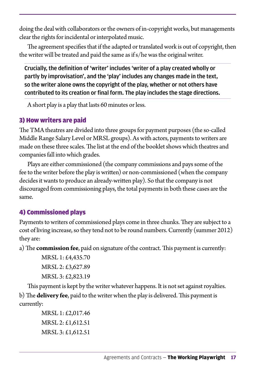<span id="page-18-0"></span>doing the deal with collaborators or the owners of in-copyright works, but managements clear the rights for incidental or interpolated music.

The agreement specifies that if the adapted or translated work is out of copyright, then the writer will be treated and paid the same as if s/he was the original writer.

Crucially, the definition of 'writer' includes 'writer of a play created wholly or partly by improvisation', and the 'play' includes any changes made in the text, so the writer alone owns the copyright of the play, whether or not others have contributed to its creation or final form. The play includes the stage directions.

A short play is a play that lasts 60 minutes or less.

#### 3) How writers are paid

The TMA theatres are divided into three groups for payment purposes (the so-called Middle Range Salary Level or MRSL groups). As with actors, payments to writers are made on these three scales. The list at the end of the booklet shows which theatres and companies fall into which grades.

Plays are either commissioned (the company commissions and pays some of the fee to the writer before the play is written) or non-commissioned (when the company decides it wants to produce an already-written play). So that the company is not discouraged from commissioning plays, the total payments in both these cases are the same.

#### 4) Commissioned plays

Payments to writers of commissioned plays come in three chunks. They are subject to a cost of living increase, so they tend not to be round numbers. Currently (summer 2012) they are:

a) The **commission fee**, paid on signature of the contract. This payment is currently:

MRSL 1: £4,435.70 MRSL 2: £3,627.89 MRSL 3: £2,823.19

This payment is kept by the writer whatever happens. It is not set against royalties.

b) The **delivery fee**, paid to the writer when the play is delivered. This payment is currently:

> MRSL 1: £2,017.46 MRSL 2: £1,612.51 MRSL 3: £1,612.51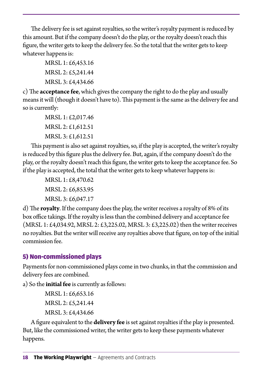<span id="page-19-0"></span>The delivery fee is set against royalties, so the writer's royalty payment is reduced by this amount. But if the company doesn't do the play, or the royalty doesn't reach this figure, the writer gets to keep the delivery fee. So the total that the writer gets to keep whatever happens is:

> MRSL 1: £6,453.16 MRSL 2: £5,241.44 MRSL 3: £4,434.66

c) The **acceptance fee**, which gives the company the right to do the play and usually means it will (though it doesn't have to). This payment is the same as the delivery fee and so is currently:

> MRSL 1: £2,017.46 MRSL 2: £1,612.51 MRSL 3: £1,612.51

This payment is also set against royalties, so, if the play is accepted, the writer's royalty is reduced by this figure plus the delivery fee. But, again, if the company doesn't do the play, or the royalty doesn't reach this figure, the writer gets to keep the acceptance fee. So if the play is accepted, the total that the writer gets to keep whatever happens is:

> MRSL 1: £8,470.62 MRSL 2: £6,853.95 MRSL 3: £6,047.17

d) The **royalty**. If the company does the play, the writer receives a royalty of 8% of its box office takings. If the royalty is less than the combined delivery and acceptance fee (MRSL 1: £4,034.92, MRSL 2: £3,225.02, MRSL 3: £3,225.02) then the writer receives no royalties. But the writer will receive any royalties above that figure, on top of the initial commission fee.

#### 5) Non-commissioned plays

Payments for non-commissioned plays come in two chunks, in that the commission and delivery fees are combined.

a) So the **initial fee** is currently as follows:

```
MRSL 1: £6,653.16
MRSL 2: £5,241.44
MRSL 3: £4,434.66
```
A figure equivalent to the **delivery fee** is set against royalties if the play is presented. But, like the commissioned writer, the writer gets to keep these payments whatever happens.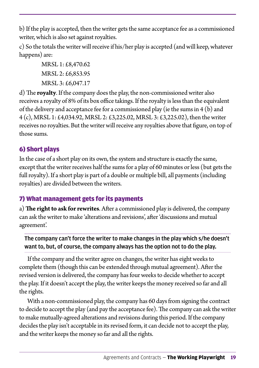<span id="page-20-0"></span>b) If the play is accepted, then the writer gets the same acceptance fee as a commissioned writer, which is also set against royalties.

c) So the totals the writer will receive if his/her play is accepted (and will keep, whatever happens) are:

> MRSL 1: £8,470.62 MRSL 2: £6,853.95 MRSL 3: £6,047.17

d) The **royalty**. If the company does the play, the non-commissioned writer also receives a royalty of 8% of its box office takings. If the royalty is less than the equivalent of the delivery and acceptance fee for a commissioned play (ie the sums in 4 (b) and 4 (c), MRSL 1: £4,034.92, MRSL 2: £3,225.02, MRSL 3: £3,225.02), then the writer receives no royalties. But the writer will receive any royalties above that figure, on top of those sums.

#### 6) Short plays

In the case of a short play on its own, the system and structure is exactly the same, except that the writer receives half the sums for a play of 60 minutes or less (but gets the full royalty). If a short play is part of a double or multiple bill, all payments (including royalties) are divided between the writers.

#### 7) What management gets for its payments

a) **The right to ask for rewrites**. After a commissioned play is delivered, the company can ask the writer to make 'alterations and revisions', after 'discussions and mutual agreement'.

#### The company can't force the writer to make changes in the play which s/he doesn't want to, but, of course, the company always has the option not to do the play.

If the company and the writer agree on changes, the writer has eight weeks to complete them (though this can be extended through mutual agreement). After the revised version is delivered, the company has four weeks to decide whether to accept the play. If it doesn't accept the play, the writer keeps the money received so far and all the rights.

With a non-commissioned play, the company has 60 days from signing the contract to decide to accept the play (and pay the acceptance fee). The company can ask the writer to make mutually-agreed alterations and revisions during this period. If the company decides the play isn't acceptable in its revised form, it can decide not to accept the play, and the writer keeps the money so far and all the rights.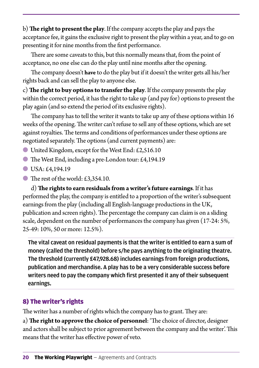<span id="page-21-0"></span>b) **The right to present the play**.If the company accepts the play and pays the acceptance fee, it gains the exclusive right to present the play within a year, and to go on presenting it for nine months from the first performance.

There are some caveats to this, but this normally means that, from the point of acceptance, no one else can do the play until nine months after the opening.

The company doesn't **have** to do the play but if it doesn't the writer gets all his/her rights back and can sell the play to anyone else.

c) **The right to buy options to transfer the play**. If the company presents the play within the correct period, it has the right to take up (and pay for) options to present the play again (and so extend the period of its exclusive rights).

The company has to tell the writer it wants to take up any of these options within 16 weeks of the opening. The writer can't refuse to sell any of these options, which are set against royalties. The terms and conditions of performances under these options are negotiated separately. The options (and current payments) are:

- United Kingdom, except for the West End: £2,516.10
- The West End, including a pre-London tour: £4,194.19
- $\bullet$  USA: £4,194.19
- $\bullet$  The rest of the world: £3,354.10.

d) **The rights to earn residuals from a writer's future earnings**. If it has performed the play, the company is entitled to a proportion of the writer's subsequent earnings from the play (including all English-language productions in the UK, publication and screen rights). The percentage the company can claim is on a sliding scale, dependent on the number of performances the company has given (17-24: 5%, 25-49: 10%, 50 or more: 12.5%).

The vital caveat on residual payments is that the writer is entitled to earn a sum of money (called the threshold) before s/he pays anything to the originating theatre. The threshold (currently £47,928.68) includes earnings from foreign productions, publication and merchandise. A play has to be a very considerable success before writers need to pay the company which first presented it any of their subsequent earnings.

#### 8) The writer's rights

The writer has a number of rights which the company has to grant. They are:

a) **The right to approve the choice of personnel**: 'The choice of director, designer and actors shall be subject to prior agreement between the company and the writer'. This means that the writer has effective power of veto.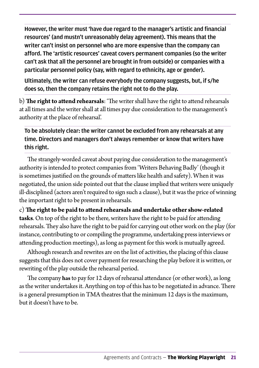However, the writer must 'have due regard to the manager's artistic and financial resources' (and mustn't unreasonably delay agreement). This means that the writer can't insist on personnel who are more expensive than the company can afford. The 'artistic resources' caveat covers permanent companies (so the writer can't ask that all the personnel are brought in from outside) or companies with a particular personnel policy (say, with regard to ethnicity, age or gender).

Ultimately, the writer can refuse everybody the company suggests, but, if s/he does so, then the company retains the right not to do the play.

b) **The right to attend rehearsals**: 'The writer shall have the right to attend rehearsals at all times and the writer shall at all times pay due consideration to the management's authority at the place of rehearsal'.

To be absolutely clear: the writer cannot be excluded from any rehearsals at any time. Directors and managers don't always remember or know that writers have this right.

The strangely-worded caveat about paying due consideration to the management's authority is intended to protect companies from 'Writers Behaving Badly' (though it is sometimes justified on the grounds of matters like health and safety). When it was negotiated, the union side pointed out that the clause implied that writers were uniquely ill-disciplined (actors aren't required to sign such a clause), but it was the price of winning the important right to be present in rehearsals.

c) **The right to be paid to attend rehearsals and undertake other show-related tasks**. On top of the right to be there, writers have the right to be paid for attending rehearsals. They also have the right to be paid for carrying out other work on the play (for instance, contributing to or compiling the programme, undertaking press interviews or attending production meetings), as long as payment for this work is mutually agreed.

Although research and rewrites are on the list of activities, the placing of this clause suggests that this does not cover payment for researching the play before it is written, or rewriting of the play outside the rehearsal period.

The company **has** to pay for 12 days of rehearsal attendance (or other work), as long as the writer undertakes it. Anything on top of this has to be negotiated in advance. There is a general presumption in TMA theatres that the minimum 12 days is the maximum, but it doesn't have to be.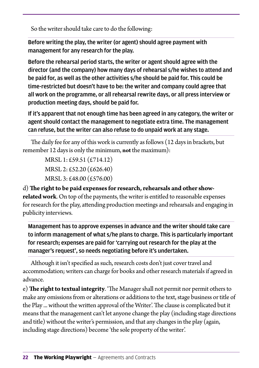So the writer should take care to do the following:

Before writing the play, the writer (or agent) should agree payment with management for any research for the play.

Before the rehearsal period starts, the writer or agent should agree with the director (and the company) how many days of rehearsal s/he wishes to attend and be paid for, as well as the other activities s/he should be paid for. This could be time-restricted but doesn't have to be: the writer and company could agree that all work on the programme, or all rehearsal rewrite days, or all press interview or production meeting days, should be paid for.

If it's apparent that not enough time has been agreed in any category, the writer or agent should contact the management to negotiate extra time. The management can refuse, but the writer can also refuse to do unpaid work at any stage.

The daily fee for any of this work is currently as follows (12 days in brackets, but remember 12 days is only the minimum, **not** the maximum):

> MRSL 1: £59.51 (£714.12) MRSL 2: £52.20 (£626.40) MRSL 3: £48.00 (£576.00)

d) **The right to be paid expenses for research, rehearsals and other showrelated work**. On top of the payments, the writer is entitled to reasonable expenses for research for the play, attending production meetings and rehearsals and engaging in publicity interviews.

Management has to approve expenses in advance and the writer should take care to inform management of what s/he plans to charge. This is particularly important for research; expenses are paid for 'carrying out research for the play at the manager's request', so needs negotiating before it's undertaken.

Although it isn't specified as such, research costs don't just cover travel and accommodation; writers can charge for books and other research materials if agreed in advance.

e) **The right to textual integrity**. 'The Manager shall not permit nor permit others to make any omissions from or alterations or additions to the text, stage business or title of the Play ... without the written approval of the Writer'. The clause is complicated but it means that the management can't let anyone change the play (including stage directions and title) without the writer's permission, and that any changes in the play (again, including stage directions) become 'the sole property of the writer'.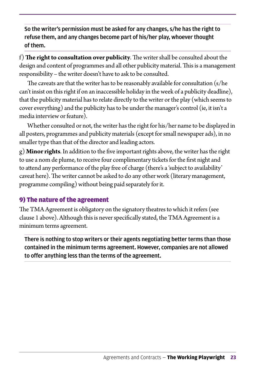<span id="page-24-0"></span>So the writer's permission must be asked for any changes, s/he has the right to refuse them, and any changes become part of his/her play, whoever thought of them.

f) **The right to consultation over publicity**. The writer shall be consulted about the design and content of programmes and all other publicity material. This is a management responsibility – the writer doesn't have to ask to be consulted.

The caveats are that the writer has to be reasonably available for consultation (s/he can't insist on this right if on an inaccessible holiday in the week of a publicity deadline), that the publicity material has to relate directly to the writer or the play (which seems to cover everything) and the publicity has to be under the manager's control (ie, it isn't a media interview or feature).

Whether consulted or not, the writer has the right for his/her name to be displayed in all posters, programmes and publicity materials (except for small newspaper ads), in no smaller type than that of the director and leading actors.

g) **Minor rights**. In addition to the five important rights above, the writer has the right to use a nom de plume, to receive four complimentary tickets for the first night and to attend any performance of the play free of charge (there's a 'subject to availability' caveat here). The writer cannot be asked to do any other work (literary management, programme compiling) without being paid separately for it.

#### 9) The nature of the agreement

The TMA Agreement is obligatory on the signatory theatres to which it refers (see clause 1 above). Although this is never specifically stated, the TMA Agreement is a minimum terms agreement.

There is nothing to stop writers or their agents negotiating better terms than those contained in the minimum terms agreement. However, companies are not allowed to offer anything less than the terms of the agreement.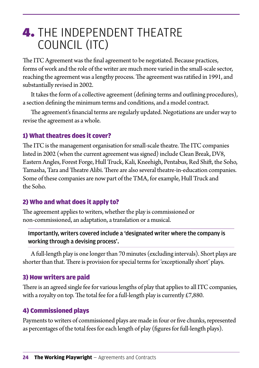## <span id="page-25-0"></span>**4. THE INDEPENDENT THEATRE** COUNCIL (ITC)

The ITC Agreement was the final agreement to be negotiated. Because practices, forms of work and the role of the writer are much more varied in the small-scale sector, reaching the agreement was a lengthy process. The agreement was ratified in 1991, and substantially revised in 2002.

It takes the form of a collective agreement (defining terms and outlining procedures), a section defining the minimum terms and conditions, and a model contract.

The agreement's financial terms are regularly updated. Negotiations are under way to revise the agreement as a whole.

#### 1) What theatres does it cover?

The ITC is the management organisation for small-scale theatre. The ITC companies listed in 2002 (when the current agreement was signed) include Clean Break, DV8, Eastern Angles, Forest Forge, Hull Truck, Kali, Kneehigh, Pentabus, Red Shift, the Soho, Tamasha, Tara and Theatre Alibi. There are also several theatre-in-education companies. Some of these companies are now part of the TMA, for example, Hull Truck and the Soho.

#### 2) Who and what does it apply to?

The agreement applies to writers, whether the play is commissioned or non-commissioned, an adaptation, a translation or a musical.

#### Importantly, writers covered include a 'designated writer where the company is working through a devising process'.

A full-length play is one longer than 70 minutes (excluding intervals). Short plays are shorter than that. There is provision for special terms for 'exceptionally short' plays.

#### 3) How writers are paid

There is an agreed single fee for various lengths of play that applies to all ITC companies, with a royalty on top. The total fee for a full-length play is currently  $£7,880$ .

#### 4) Commissioned plays

Payments to writers of commissioned plays are made in four or five chunks, represented as percentages of the total fees for each length of play (figures for full-length plays).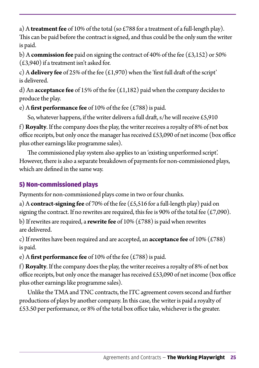<span id="page-26-0"></span>a) A **treatment fee** of 10% of the total (so £788 for a treatment of a full-length play). This can be paid before the contract is signed, and thus could be the only sum the writer is paid.

b) A **commission fee** paid on signing the contract of 40% of the fee (£3,152) or 50% (£3,940) if a treatment isn't asked for.

c) A **delivery fee** of 25% of the fee (£1,970) when the 'first full draft of the script' is delivered.

d) An **acceptance fee** of 15% of the fee (£1,182) paid when the company decides to produce the play.

e) A **first performance fee** of 10% of the fee (£788) is paid.

So, whatever happens, if the writer delivers a full draft,  $s/h$ e will receive £5,910

f) **Royalty**. If the company does the play, the writer receives a royalty of 8% of net box office receipts, but only once the manager has received £53,090 of net income (box office plus other earnings like programme sales).

The commissioned play system also applies to an 'existing unperformed script'. However, there is also a separate breakdown of payments for non-commissioned plays, which are defined in the same way.

### 5) Non-commissioned plays

Payments for non-commissioned plays come in two or four chunks.

a) A **contract-signing fee** of 70% of the fee (£5,516 for a full-length play) paid on signing the contract. If no rewrites are required, this fee is 90% of the total fee (£7,090). b) If rewrites are required, a **rewrite fee** of 10% (£788) is paid when rewrites are delivered.

c) If rewrites have been required and are accepted, an **acceptance fee** of 10% (£788) is paid.

e) A **first performance fee** of 10% of the fee (£788) is paid.

f) **Royalty**. If the company does the play, the writer receives a royalty of 8% of net box office receipts, but only once the manager has received £53,090 of net income (box office plus other earnings like programme sales).

Unlike the TMA and TNC contracts, the ITC agreement covers second and further productions of plays by another company. In this case, the writer is paid a royalty of £53.50 per performance, or 8% of the total box office take, whichever is the greater.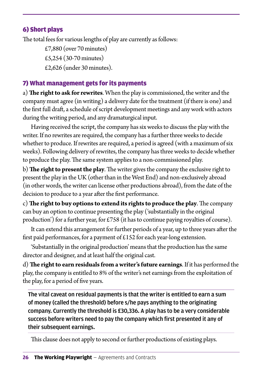#### <span id="page-27-0"></span>6) Short plays

The total fees for various lengths of play are currently as follows:

£7,880 (over 70 minutes) £5,254 (30-70 minutes) £2,626 (under 30 minutes).

#### 7) What management gets for its payments

a) **The right to ask for rewrites**. When the play is commissioned, the writer and the company must agree (in writing) a delivery date for the treatment (if there is one) and the first full draft, a schedule of script development meetings and any work with actors during the writing period, and any dramaturgical input.

Having received the script, the company has six weeks to discuss the play with the writer. If no rewrites are required, the company has a further three weeks to decide whether to produce. If rewrites are required, a period is agreed (with a maximum of six weeks). Following delivery of rewrites, the company has three weeks to decide whether to produce the play. The same system applies to a non-commissioned play.

b) **The right to present the play**. The writer gives the company the exclusive right to present the play in the UK (other than in the West End) and non-exclusively abroad (in other words, the writer can license other productions abroad), from the date of the decision to produce to a year after the first performance.

c) **The right to buy options to extend its rights to produce the play**. The company can buy an option to continue presenting the play ('substantially in the original production') for a further year, for £758 (it has to continue paying royalties of course).

It can extend this arrangement for further periods of a year, up to three years after the first paid performances, for a payment of £152 for each year-long extension.

'Substantially in the original production' means that the production has the same director and designer, and at least half the original cast.

d) **The right to earn residuals from a writer's future earnings**. If it has performed the play, the company is entitled to 8% of the writer's net earnings from the exploitation of the play, for a period of five years.

The vital caveat on residual payments is that the writer is entitled to earn a sum of money (called the threshold) before s/he pays anything to the originating company. Currently the threshold is £30,336. A play has to be a very considerable success before writers need to pay the company which first presented it any of their subsequent earnings.

This clause does not apply to second or further productions of existing plays.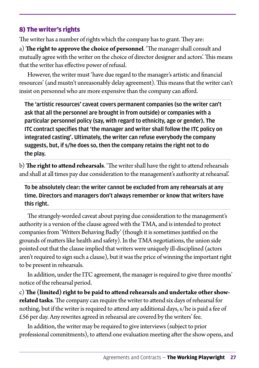#### <span id="page-28-0"></span>8) The writer's rights

The writer has a number of rights which the company has to grant. They are:

a) **The right to approve the choice of personnel**. 'The manager shall consult and mutually agree with the writer on the choice of director designer and actors'. This means that the writer has effective power of refusal.

However, the writer must 'have due regard to the manager's artistic and financial resources' (and mustn't unreasonably delay agreement). This means that the writer can't insist on personnel who are more expensive than the company can afford.

The 'artistic resources' caveat covers permanent companies (so the writer can't ask that all the personnel are brought in from outside) or companies with a particular personnel policy (say, with regard to ethnicity, age or gender). The ITC contract specifies that 'the manager and writer shall follow the ITC policy on integrated casting'. Ultimately, the writer can refuse everybody the company suggests, but, if s/he does so, then the company retains the right not to do the play.

b) **The right to attend rehearsals**. 'The writer shall have the right to attend rehearsals and shall at all times pay due consideration to the management's authority at rehearsal'.

To be absolutely clear: the writer cannot be excluded from any rehearsals at any time. Directors and managers don't always remember or know that writers have this right.

The strangely-worded caveat about paying due consideration to the management's authority is a version of the clause agreed with the TMA, and is intended to protect companies from 'Writers Behaving Badly' (though it is sometimes justified on the grounds of matters like health and safety). In the TMA negotiations, the union side pointed out that the clause implied that writers were uniquely ill-disciplined (actors aren't required to sign such a clause), but it was the price of winning the important right to be present in rehearsals.

In addition, under the ITC agreement, the manager is required to give three months' notice of the rehearsal period.

c) **The (limited) right to be paid to attend rehearsals and undertake other showrelated tasks**. The company can require the writer to attend six days of rehearsal for nothing, but if the writer is required to attend any additional days, s/he is paid a fee of £56 per day. Any rewrites agreed in rehearsal are covered by the writers' fee.

In addition, the writer may be required to give interviews (subject to prior professional commitments), to attend one evaluation meeting after the show opens, and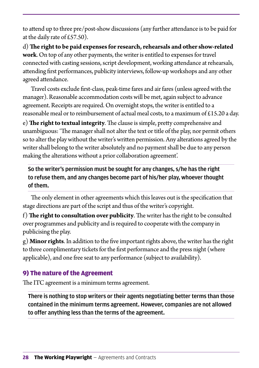<span id="page-29-0"></span>to attend up to three pre/post-show discussions (any further attendance is to be paid for at the daily rate of  $£57.50$ .

d) **The right to be paid expenses for research, rehearsals and other show-related work**. On top of any other payments, the writer is entitled to expenses for travel connected with casting sessions, script development, working attendance at rehearsals, attending first performances, publicity interviews, follow-up workshops and any other agreed attendance.

Travel costs exclude first-class, peak-time fares and air fares (unless agreed with the manager). Reasonable accommodation costs will be met, again subject to advance agreement. Receipts are required. On overnight stops, the writer is entitled to a reasonable meal or to reimbursement of actual meal costs, to a maximum of  $£15.20$  a day.

e) **The right to textual integrity**. The clause is simple, pretty comprehensive and unambiguous: 'The manager shall not alter the text or title of the play, nor permit others so to alter the play without the writer's written permission. Any alterations agreed by the writer shall belong to the writer absolutely and no payment shall be due to any person making the alterations without a prior collaboration agreement'.

So the writer's permission must be sought for any changes, s/he has the right to refuse them, and any changes become part of his/her play, whoever thought of them.

The only element in other agreements which this leaves out is the specification that stage directions are part of the script and thus of the writer's copyright.

f) **The right to consultation over publicity**. The writer has the right to be consulted over programmes and publicity and is required to cooperate with the company in publicising the play.

g) **Minor rights**. In addition to the five important rights above, the writer has the right to three complimentary tickets for the first performance and the press night (where applicable), and one free seat to any performance (subject to availability).

#### 9) The nature of the Agreement

The ITC agreement is a minimum terms agreement.

There is nothing to stop writers or their agents negotiating better terms than those contained in the minimum terms agreement. However, companies are not allowed to offer anything less than the terms of the agreement.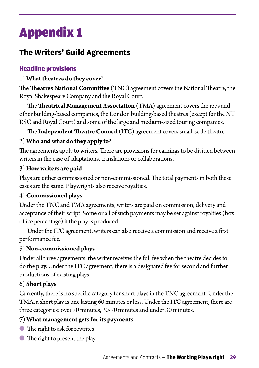# <span id="page-30-0"></span>Appendix 1

### **The Writers' Guild Agreements**

#### Headline provisions

#### 1) **What theatres do they cover**?

The **Theatres National Committee** (TNC) agreement covers the National Theatre, the Royal Shakespeare Company and the Royal Court.

The **Theatrical Management Association** (TMA) agreement covers the reps and other building-based companies, the London building-based theatres (except for the NT, RSC and Royal Court) and some of the large and medium-sized touring companies.

The **Independent Theatre Council** (ITC) agreement covers small-scale theatre.

#### 2) **Who and what do they apply to**?

The agreements apply to writers. There are provisions for earnings to be divided between writers in the case of adaptations, translations or collaborations.

#### 3) **How writers are paid**

Plays are either commissioned or non-commissioned. The total payments in both these cases are the same. Playwrights also receive royalties.

#### 4) **Commissioned plays**

Under the TNC and TMA agreements, writers are paid on commission, delivery and acceptance of their script. Some or all of such payments may be set against royalties (box office percentage) if the play is produced.

Under the ITC agreement, writers can also receive a commission and receive a first performance fee.

#### 5) **Non-commissioned plays**

Under all three agreements, the writer receives the full fee when the theatre decides to do the play. Under the ITC agreement, there is a designated fee for second and further productions of existing plays.

#### 6) **Short plays**

Currently, there is no specific category for short plays in the TNC agreement. Under the TMA, a short play is one lasting 60 minutes or less. Under the ITC agreement, there are three categories: over 70 minutes, 30-70 minutes and under 30 minutes.

#### **7) What management gets for its payments**

- The right to ask for rewrites
- The right to present the play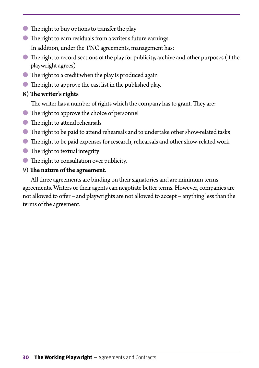- The right to buy options to transfer the play
- The right to earn residuals from a writer's future earnings. In addition, under the TNC agreements, management has:
- The right to record sections of the play for publicity, archive and other purposes (if the playwright agrees)
- The right to a credit when the play is produced again
- The right to approve the cast list in the published play.

#### **8) The writer's rights**

The writer has a number of rights which the company has to grant. They are:

- The right to approve the choice of personnel
- The right to attend rehearsals
- The right to be paid to attend rehearsals and to undertake other show-related tasks
- The right to be paid expenses for research, rehearsals and other show-related work
- The right to textual integrity
- The right to consultation over publicity.

#### 9) **The nature of the agreement**.

All three agreements are binding on their signatories and are minimum terms agreements. Writers or their agents can negotiate better terms. However, companies are not allowed to offer – and playwrights are not allowed to accept – anything less than the terms of the agreement.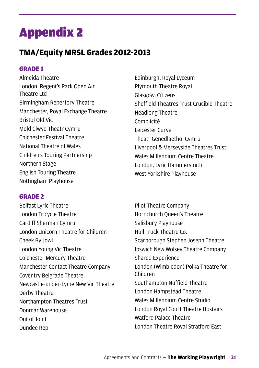# <span id="page-32-0"></span>Appendix 2

### **TMA/Equity MRSL Grades 2012-2013**

#### GRADE 1

Almeida Theatre London, Regent's Park Open Air Theatre Ltd Birmingham Repertory Theatre Manchester, Royal Exchange Theatre Bristol Old Vic Mold Clwyd Theatr Cymru Chichester Festival Theatre National Theatre of Wales Children's Touring Partnership Northern Stage English Touring Theatre Nottingham Playhouse

#### GRADE 2

Belfast Lyric Theatre London Tricycle Theatre Cardiff Sherman Cymru London Unicorn Theatre for Children Cheek By Jowl London Young Vic Theatre Colchester Mercury Theatre Manchester Contact Theatre Company Coventry Belgrade Theatre Newcastle-under-Lyme New Vic Theatre Derby Theatre Northampton Theatres Trust Donmar Warehouse Out of Joint Dundee Rep

Edinburgh, Royal Lyceum Plymouth Theatre Royal Glasgow, Citizens Sheffield Theatres Trust Crucible Theatre Headlong Theatre Complicité Leicester Curve Theatr Genedlaethol Cymru Liverpool & Merseyside Theatres Trust Wales Millennium Centre Theatre London, Lyric Hammersmith West Yorkshire Playhouse

Pilot Theatre Company Hornchurch Queen's Theatre Salisbury Playhouse Hull Truck Theatre Co. Scarborough Stephen Joseph Theatre Ipswich New Wolsey Theatre Company Shared Experience London (Wimbledon) Polka Theatre for Children Southampton Nuffield Theatre London Hampstead Theatre Wales Millennium Centre Studio London Royal Court Theatre Upstairs Watford Palace Theatre London Theatre Royal Stratford East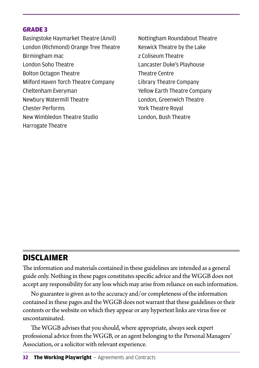#### <span id="page-33-0"></span>GRADE 3

Basingstoke Haymarket Theatre (Anvil) London (Richmond) Orange Tree Theatre Birmingham mac London Soho Theatre Bolton Octagon Theatre Milford Haven Torch Theatre Company Cheltenham Everyman Newbury Watermill Theatre Chester Performs New Wimbledon Theatre Studio Harrogate Theatre

Nottingham Roundabout Theatre Keswick Theatre by the Lake z Coliseum Theatre Lancaster Duke's Playhouse Theatre Centre Library Theatre Company Yellow Earth Theatre Company London, Greenwich Theatre York Theatre Royal London, Bush Theatre

### **DISCLAIMER**

The information and materials contained in these guidelines are intended as a general guide only. Nothing in these pages constitutes specific advice and the WGGB does not accept any responsibility for any loss which may arise from reliance on such information.

No guarantee is given as to the accuracy and/or completeness of the information contained in these pages and the WGGB does not warrant that these guidelines or their contents or the website on which they appear or any hypertext links are virus free or uncontaminated.

The WGGB advises that you should, where appropriate, always seek expert professional advice from the WGGB, or an agent belonging to the Personal Managers' Association, or a solicitor with relevant experience.